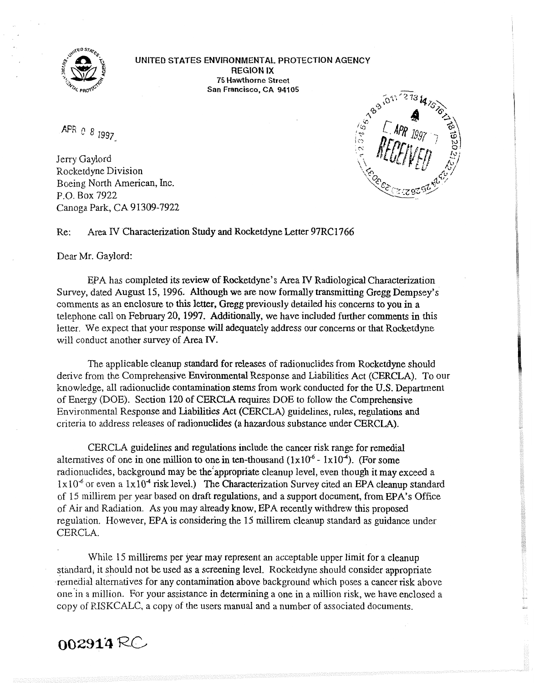

**UNITED STATES ENVIRONMENTAL. PROTECTION AGENCY REGION IX 75 Hawthorne Street** 

APR 0 8 1997

Jerry Gaylord Rocketdyne Division Boeing North American, Inc. F.O. Box 7922 Canoga Park, CA 91309-7922

**San Francisco, CA 94105**<br>  $\frac{1}{48}\int_{16}^{\infty} e^{3} \int_{16}^{\sqrt{273}} 47.$ 

Re: Area IV Characterization Study and Rocketdyne Letter 97RC1766

## Dear Mr. Gaylord:

&A has completed its review of Rocketdyne's Area **N** Radiological Characterization Survey, dated August 15, 1996. Although we are now formally transmitting Gregg Dempsey's comments as an enclosure to this letter, **Gregg** previously detailed his concerns to you in a telephone call on February 20, 1997. Additionally, we have included further comments in this letter. We expect that your response will adequately address our concerns or that Rocketdwe will conduct another survey of Area **IV.** 

The applicable cleanup standard for releases of radionuclides from Rocketdyne should derive from the Comprehensive Environmental Response and Liabilities Act (CERCLA). To our knowledge, all radionuclide contamination stems from work conducted for the U.S. Department of Energy (DOE). Section 120 of CERCLA requires DOE to follow the Comprehensive Environmental Response and Liabilities Act (CERCLA) guidelines, rules, regulations and criteria to address releases of radionuclides **(a** hazardous substance under CERCLA).

CERCLA guidelines and regulations include the cancer risk range for remedial alternatives of one in one million to one in ten-thousand  $(1x10^{-6} - 1x10^{-4})$ . (For some radionuclides, background may be the appropriate cleanup level, even though it may exceed a  $1x10<sup>-6</sup>$  or even a  $1x10<sup>-4</sup>$  risk level.) The Characterization Survey cited an EPA cleanup standard of 15 millirem per year based on draft regulations, and a support document, from EPA's Office of Air and Radiation. As you may already know, EPA recently withdrew this proposed regulation. However, EPA is considering the 15 millirem cleanup standard as guidance under CERCLA.

While 15 millirems per year may represent an acceptable upper limit for a cleanup standard, it should not be used as a screening level. Rocketdyne should consider appropriate remedial alternatives for any contamination above background which poses a cancer risk above one'in a million. For your assistance in determining a one in a million risk, we have enclosed a copy of RISKCALC, a copy of the users manual and a number of associated documents.

## $002914 \, \text{RC}$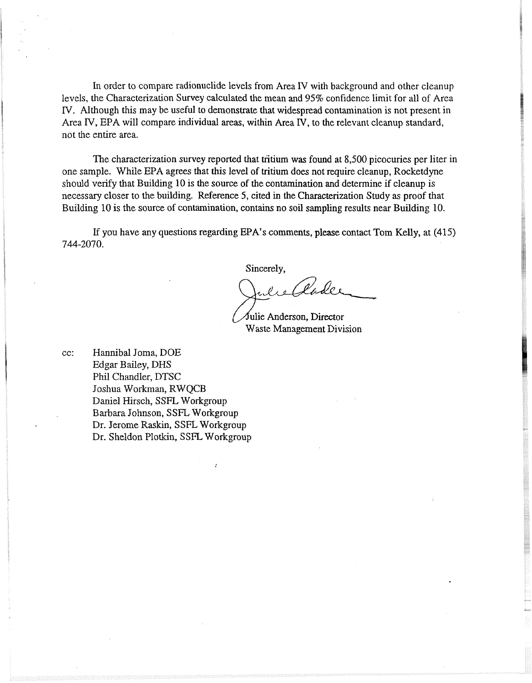In order to compare radionuclide levels from Area IV with background and other cleanup levels, the Characterization Survey calculated the mean and 95% confidence limit for all of Area N. Although this may be useful to demonstrate that widespread contamination is not present in Area N, EPA will compare individual areas, within Area **N,** to the relevant cleanup standard, not the entire area.

The characterization survey reported that tritium was found at 8,500 picocuries per liter in one sample. While EPA agrees that this level of tritium does not require cleanup, Rocketdyne should verify that Building 10 is the source of the contamination and determine if cleanup is necessary closer to the building. Reference 5, cited in the Characterization Study as proof that Building 10 is the source of contamination, contains no soil sampling results near Building 10.

If you have any questions regarding EPA's comments, please contact Tom Kelly, at (415) 744-2070.

Sincerely,

lader

Julie Anderson, Director Waste Management Division

cc: Hannibal Joma, DOE Edgar Bailey, DHS Phil Chandler, DTSC Joshua Workman, RWQCB Daniel Hirsch, SSFL Workgroup Barbara Johnson, SSFL Workgroup Dr. Jerome Raskin, SSFL Workgroup Dr. Sheldon Plotkin, SSFL Workgroup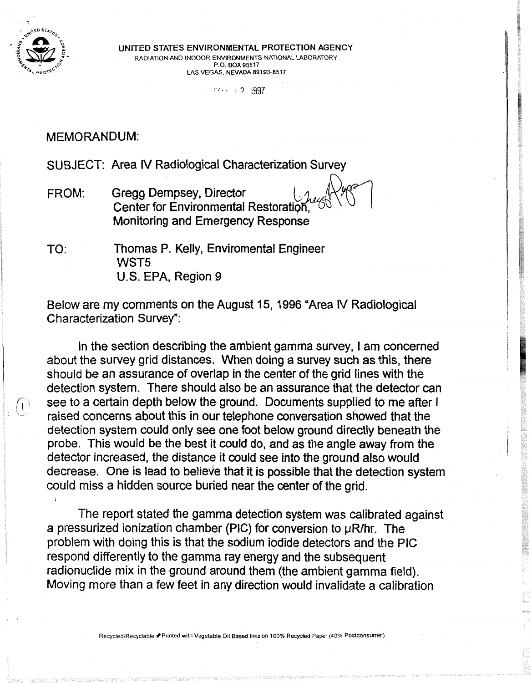

. **<sup>T</sup>UNITED STATES ENVIRONMENTAL PROTECTION AGENCY RADIATION AND INDOOR ENVIRONMENTS NATIONAL LABORATORY <b>P.O. BOX 98517** LAS VEGAS, NEVADA 89193-8517

 $... 2 1997$ 

## MEMORANDUM:

SUBJECT: Area **IV** Radiological Characterization Survey

- FROM: Gregg Dempsey, Director Center for Environmental Restoration Monitoring and Emergency Response
- TO: Thomas P. Kelly, Enviromental Engineer WST5 U.S. EPA, Region **9**

Below are my comments on the August 15, 1996 'Area IV Radiological Characterization Survey":

In the section describing the ambient gamma survey, I am concerned about the survey grid distances. When doing a survey such as this, there should be an assurance of overlap in the center of the grid lines with the detection system. There should also be an assurance that the detector can see to a certain depth below the ground. Documents supplied to me after I raised concerns about this in our telephone conversation showed that the detection system could only see one foot below ground directly beneath the probe. This would be the best it could do, and as the angle away from the detector increased, the distance it could see into the ground also would decrease. One is lead to believe that it is possible that the detection system could miss a hidden source buried near the center of the grid.

The report stated the gamma detection system was calibrated against a pressurized ionization chamber (PIC) for conversion to µR/hr. The problem with doing this is that the sodium iodide detectors and the PIC respond differently to the gamma ray energy and the subsequent radionuclide mix in the ground around them (the ambient gamma field). Moving more than a few feet in any direction would invalidate a calibration

**RecycledlRecydable Printed with Vegetable Oil Based Inks on 100% Recyded Paper (40% Postconsumer)**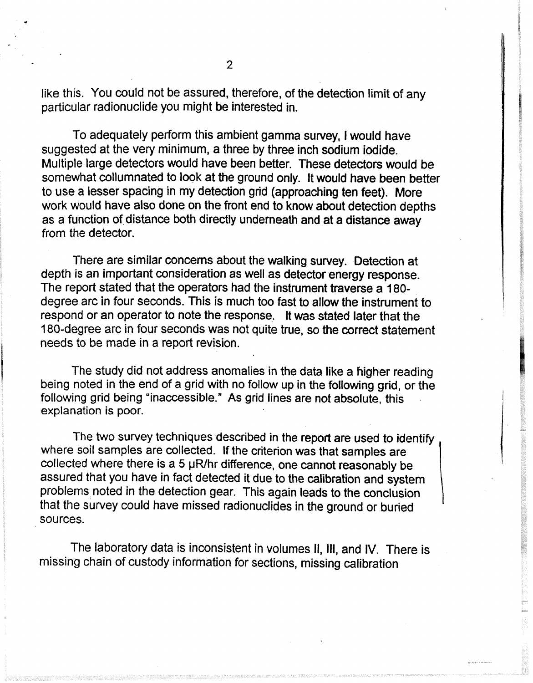like this. You could not be assured, therefore, of the detection limit of any particular radionuclide you might be interested in.

To adequately perform this ambient gamma survey, I would have suggested at the very minimum, a three by three inch sodium iodide. Multiple large detectors would have been better. These detectors would be somewhat collumnated to look at the ground only. It would have been better to use a lesser spacing in my detection grid (approaching ten feet). More work would have also done on the front end to know about detection depths as a function of distance both directly underneath and at a distance away from the detector.

There are similar concerns about the walking survey. Detection at depth is an important consideration as well as detector energy response. The report stated that the operators had the instrument traverse a **180**  degree arc in four seconds. This is much too fast to allow the instrument to respond or an operator to note the response. It was stated later that the 180-degree arc in four seconds was not quite true, so the correct statement needs to be made in a report revision.

The study did not address anomalies in the data like a higher reading being noted in the end of a grid with no follow up in the following grid, or the following grid being "inaccessible." As grid lines are not absolute, this explanation is poor.

The two survey techniques described in the report are used to identify where soil samples are collected. If the criterion was that samples are collected where there is a 5  $\mu$ R/hr difference, one cannot reasonably be assured that you have in fact detected it due to the calibration and system problems noted in the detection gear. This again leads to the conclusion that the survey could have missed radionuclides in the ground or buried sources.

The laboratory data is inconsistent in volumes **11, Ill,** and IV. There is missing chain of custody information for sections, missing calibration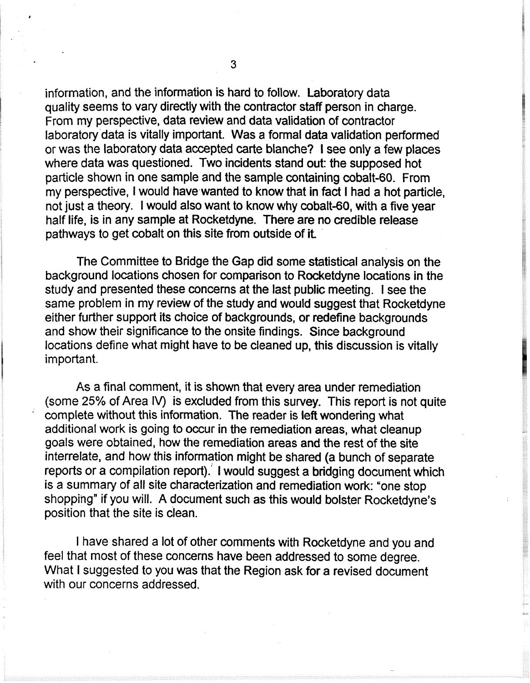information, and the information is hard to follow. Laboratory data quality seems to vary directly with the contractor staff person in charge. From my perspective, data review and data validation of contractor laboratory data is vitally important. Was a formal data validation performed or was the laboratory data accepted carte blanche? I see only a few places where data was questioned. Two incidents stand out: the supposed hot particle shown in one sample and the sample containing cobalt-60. From my perspective, I would have wanted to know that in fact I had a hot particle. not just a theory. I would also want to know why cobalt-60, with a five year half life, is in any sample at Rocketdyne. There are no credible release pathways to get cobalt on this site from outside of it

The Committee to Bridge the Gap did some statistical analysis on the background locations chosen for comparison to Rocketdyne locations in the study and presented these concerns at the last public meeting. I see the same problem in my review of the study and would suggest that Rocketdyne either further support its choice of backgrounds, or redefine backgrounds and show their significance to the onsite findings. Since background locations define what might have to be cleaned up, this discussion is vitally important.

As a final comment, it is shown that every area under remediation (some 25% of Area IV) is excluded from this survey. This report is not quite complete without this information. The reader is left wondering what additional work is going to occur in the remediation areas, what cleanup goals were obtained, how the remediation areas and the rest of the site interrelate, and how this information might be shared (a bunch of separate reports or a compilation report). I would suggest a bridging document which is a summary of all site characterization and remediation work: 'one stop shopping" if you will. A document such as this would bolster Rocketdyne's position that the site is clean.

I have shared a lot of other comments with Rocketdyne and you and feel that most of these concerns have been addressed to some degree. What I suggested to you was that the Region ask for a revised document with our concerns addressed.